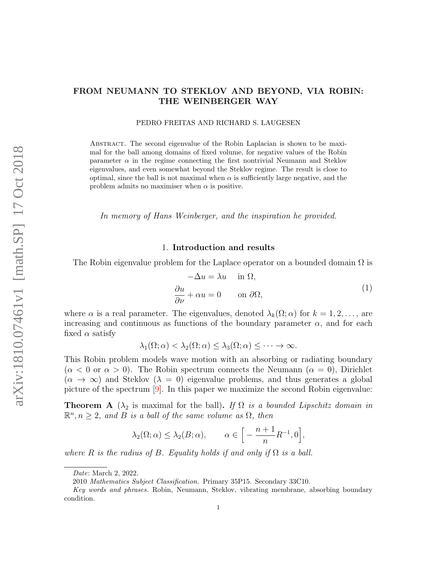#### PEDRO FREITAS AND RICHARD S. LAUGESEN

Abstract. The second eigenvalue of the Robin Laplacian is shown to be maximal for the ball among domains of fixed volume, for negative values of the Robin parameter  $\alpha$  in the regime connecting the first nontrivial Neumann and Steklov eigenvalues, and even somewhat beyond the Steklov regime. The result is close to optimal, since the ball is not maximal when  $\alpha$  is sufficiently large negative, and the problem admits no maximiser when  $\alpha$  is positive.

In memory of Hans Weinberger, and the inspiration he provided.

## 1. Introduction and results

<span id="page-0-1"></span>The Robin eigenvalue problem for the Laplace operator on a bounded domain  $\Omega$  is

$$
-\Delta u = \lambda u \quad \text{in } \Omega,
$$
  
\n
$$
\frac{\partial u}{\partial \nu} + \alpha u = 0 \quad \text{on } \partial \Omega,
$$
\n(1)

where  $\alpha$  is a real parameter. The eigenvalues, denoted  $\lambda_k(\Omega; \alpha)$  for  $k = 1, 2, \ldots$ , are increasing and continuous as functions of the boundary parameter  $\alpha$ , and for each fixed  $\alpha$  satisfy

$$
\lambda_1(\Omega;\alpha)<\lambda_2(\Omega;\alpha)<\lambda_3(\Omega;\alpha)<\cdots\to\infty.
$$

This Robin problem models wave motion with an absorbing or radiating boundary  $(\alpha < 0$  or  $\alpha > 0$ ). The Robin spectrum connects the Neumann  $(\alpha = 0)$ , Dirichlet  $(\alpha \to \infty)$  and Steklov  $(\lambda = 0)$  eigenvalue problems, and thus generates a global picture of the spectrum [\[9\]](#page-21-0). In this paper we maximize the second Robin eigenvalue:

<span id="page-0-0"></span>**Theorem A** ( $\lambda_2$  is maximal for the ball). If  $\Omega$  is a bounded Lipschitz domain in  $\mathbb{R}^n, n \geq 2$ , and B is a ball of the same volume as  $\Omega$ , then

$$
\lambda_2(\Omega; \alpha) \leq \lambda_2(B; \alpha), \qquad \alpha \in \left[ -\frac{n+1}{n} R^{-1}, 0 \right],
$$

where R is the radius of B. Equality holds if and only if  $\Omega$  is a ball.

Date: March 2, 2022.

<sup>2010</sup> Mathematics Subject Classification. Primary 35P15. Secondary 33C10.

Key words and phrases. Robin, Neumann, Steklov, vibrating membrane, absorbing boundary condition.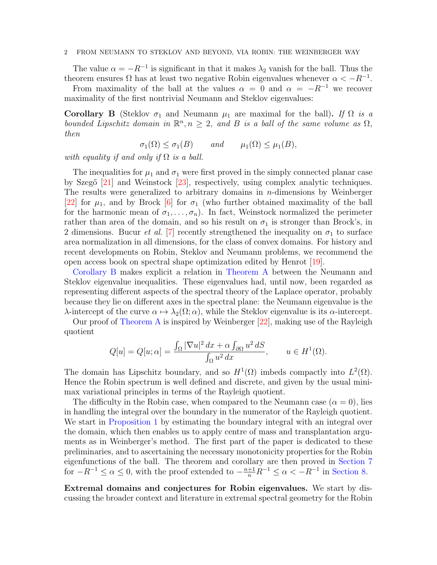The value  $\alpha = -R^{-1}$  is significant in that it makes  $\lambda_2$  vanish for the ball. Thus the theorem ensures  $\Omega$  has at least two negative Robin eigenvalues whenever  $\alpha < -R^{-1}$ .

From maximality of the ball at the values  $\alpha = 0$  and  $\alpha = -R^{-1}$  we recover maximality of the first nontrivial Neumann and Steklov eigenvalues:

<span id="page-1-0"></span>Corollary B (Steklov  $\sigma_1$  and Neumann  $\mu_1$  are maximal for the ball). If  $\Omega$  is a bounded Lipschitz domain in  $\mathbb{R}^n, n \geq 2$ , and B is a ball of the same volume as  $\Omega$ , then

 $\sigma_1(\Omega) \leq \sigma_1(B)$  and  $\mu_1(\Omega) \leq \mu_1(B)$ ,

with equality if and only if  $\Omega$  is a ball.

The inequalities for  $\mu_1$  and  $\sigma_1$  were first proved in the simply connected planar case by Szegő  $[21]$  and Weinstock  $[23]$ , respectively, using complex analytic techniques. The results were generalized to arbitrary domains in  $n$ -dimensions by Weinberger [\[22\]](#page-22-2) for  $\mu_1$ , and by Brock [\[6\]](#page-21-1) for  $\sigma_1$  (who further obtained maximality of the ball for the harmonic mean of  $\sigma_1, \ldots, \sigma_n$ . In fact, Weinstock normalized the perimeter rather than area of the domain, and so his result on  $\sigma_1$  is stronger than Brock's, in 2 dimensions. Bucur *et al.* [\[7\]](#page-21-2) recently strengthened the inequality on  $\sigma_1$  to surface area normalization in all dimensions, for the class of convex domains. For history and recent developments on Robin, Steklov and Neumann problems, we recommend the open access book on spectral shape optimization edited by Henrot [\[19\]](#page-21-3).

[Corollary B](#page-1-0) makes explicit a relation in [Theorem A](#page-0-0) between the Neumann and Steklov eigenvalue inequalities. These eigenvalues had, until now, been regarded as representing different aspects of the spectral theory of the Laplace operator, probably because they lie on different axes in the spectral plane: the Neumann eigenvalue is the λ-intercept of the curve  $\alpha \mapsto \lambda_2(\Omega; \alpha)$ , while the Steklov eigenvalue is its α-intercept.

Our proof of [Theorem A](#page-0-0) is inspired by Weinberger [\[22\]](#page-22-2), making use of the Rayleigh quotient

$$
Q[u] = Q[u; \alpha] = \frac{\int_{\Omega} |\nabla u|^2 dx + \alpha \int_{\partial \Omega} u^2 dS}{\int_{\Omega} u^2 dx}, \qquad u \in H^1(\Omega).
$$

The domain has Lipschitz boundary, and so  $H^1(\Omega)$  imbeds compactly into  $L^2(\Omega)$ . Hence the Robin spectrum is well defined and discrete, and given by the usual minimax variational principles in terms of the Rayleigh quotient.

The difficulty in the Robin case, when compared to the Neumann case  $(\alpha = 0)$ , lies in handling the integral over the boundary in the numerator of the Rayleigh quotient. We start in [Proposition 1](#page-4-0) by estimating the boundary integral with an integral over the domain, which then enables us to apply centre of mass and transplantation arguments as in Weinberger's method. The first part of the paper is dedicated to these preliminaries, and to ascertaining the necessary monotonicity properties for the Robin eigenfunctions of the ball. The theorem and corollary are then proved in [Section 7](#page-14-0) for  $-R^{-1} \le \alpha \le 0$ , with the proof extended to  $-\frac{n+1}{n}R^{-1} \le \alpha \le -R^{-1}$  in [Section 8.](#page-17-0)

Extremal domains and conjectures for Robin eigenvalues. We start by discussing the broader context and literature in extremal spectral geometry for the Robin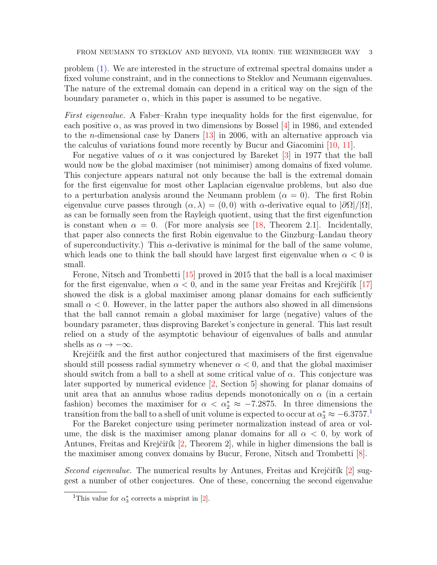problem [\(1\).](#page-0-1) We are interested in the structure of extremal spectral domains under a fixed volume constraint, and in the connections to Steklov and Neumann eigenvalues. The nature of the extremal domain can depend in a critical way on the sign of the boundary parameter  $\alpha$ , which in this paper is assumed to be negative.

First eigenvalue. A Faber–Krahn type inequality holds for the first eigenvalue, for each positive  $\alpha$ , as was proved in two dimensions by Bossel [\[4\]](#page-21-4) in 1986, and extended to the n-dimensional case by Daners [\[13\]](#page-21-5) in 2006, with an alternative approach via the calculus of variations found more recently by Bucur and Giacomini [\[10,](#page-21-6) [11\]](#page-21-7).

For negative values of  $\alpha$  it was conjectured by Bareket [\[3\]](#page-21-8) in 1977 that the ball would now be the global maximiser (not minimiser) among domains of fixed volume. This conjecture appears natural not only because the ball is the extremal domain for the first eigenvalue for most other Laplacian eigenvalue problems, but also due to a perturbation analysis around the Neumann problem  $(\alpha = 0)$ . The first Robin eigenvalue curve passes through  $(\alpha, \lambda) = (0, 0)$  with  $\alpha$ -derivative equal to  $|\partial \Omega|/|\Omega|$ , as can be formally seen from the Rayleigh quotient, using that the first eigenfunction is constant when  $\alpha = 0$ . (For more analysis see [\[18,](#page-21-9) Theorem 2.1]. Incidentally, that paper also connects the first Robin eigenvalue to the Ginzburg–Landau theory of superconductivity.) This  $\alpha$ -derivative is minimal for the ball of the same volume, which leads one to think the ball should have largest first eigenvalue when  $\alpha < 0$  is small.

Ferone, Nitsch and Trombetti [\[15\]](#page-21-10) proved in 2015 that the ball is a local maximiser for the first eigenvalue, when  $\alpha < 0$ , and in the same year Freitas and Krejčiřík [\[17\]](#page-21-11) showed the disk is a global maximiser among planar domains for each sufficiently small  $\alpha$  < 0. However, in the latter paper the authors also showed in all dimensions that the ball cannot remain a global maximiser for large (negative) values of the boundary parameter, thus disproving Bareket's conjecture in general. This last result relied on a study of the asymptotic behaviour of eigenvalues of balls and annular shells as  $\alpha \to -\infty$ .

Krejčiřík and the first author conjectured that maximisers of the first eigenvalue should still possess radial symmetry whenever  $\alpha < 0$ , and that the global maximiser should switch from a ball to a shell at some critical value of  $\alpha$ . This conjecture was later supported by numerical evidence [\[2,](#page-21-12) Section 5] showing for planar domains of unit area that an annulus whose radius depends monotonically on  $\alpha$  (in a certain fashion) becomes the maximiser for  $\alpha < \alpha_2^* \approx -7.2875$ . In three dimensions the transition from the ball to a shell of unit volume is expected to occur at  $\alpha_3^* \approx -6.3757$ .<sup>[1](#page-2-0)</sup>

For the Bareket conjecture using perimeter normalization instead of area or volume, the disk is the maximiser among planar domains for all  $\alpha < 0$ , by work of Antunes, Freitas and Krejčiřík  $[2,$  Theorem 2, while in higher dimensions the ball is the maximiser among convex domains by Bucur, Ferone, Nitsch and Trombetti [\[8\]](#page-21-13).

Second eigenvalue. The numerical results by Antunes, Freitas and Krejčiřík  $[2]$  suggest a number of other conjectures. One of these, concerning the second eigenvalue

<span id="page-2-0"></span><sup>&</sup>lt;sup>1</sup>This value for  $\alpha_3^*$  corrects a misprint in [\[2\]](#page-21-12).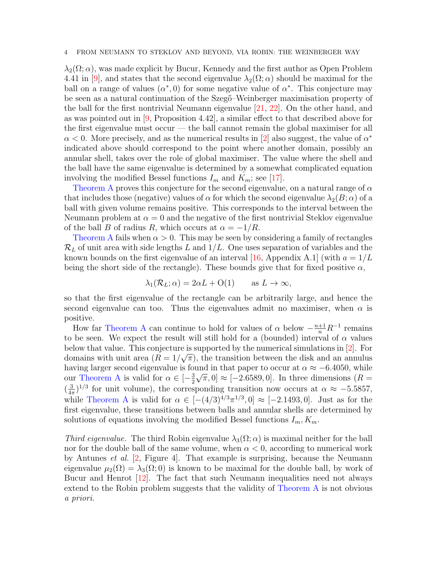$\lambda_2(\Omega;\alpha)$ , was made explicit by Bucur, Kennedy and the first author as Open Problem 4.41 in [\[9\]](#page-21-0), and states that the second eigenvalue  $\lambda_2(\Omega; \alpha)$  should be maximal for the ball on a range of values  $(\alpha^*,0)$  for some negative value of  $\alpha^*$ . This conjecture may be seen as a natural continuation of the Szeg<sub>"</sub>-Weinberger maximisation property of the ball for the first nontrivial Neumann eigenvalue [\[21,](#page-22-0) [22\]](#page-22-2). On the other hand, and as was pointed out in  $[9,$  Proposition 4.42, a similar effect to that described above for the first eigenvalue must occur — the ball cannot remain the global maximiser for all  $\alpha$  < 0. More precisely, and as the numerical results in [\[2\]](#page-21-12) also suggest, the value of  $\alpha^*$ indicated above should correspond to the point where another domain, possibly an annular shell, takes over the role of global maximiser. The value where the shell and the ball have the same eigenvalue is determined by a somewhat complicated equation involving the modified Bessel functions  $I_m$  and  $K_m$ ; see [\[17\]](#page-21-11).

[Theorem A](#page-0-0) proves this conjecture for the second eigenvalue, on a natural range of  $\alpha$ that includes those (negative) values of  $\alpha$  for which the second eigenvalue  $\lambda_2(B;\alpha)$  of a ball with given volume remains positive. This corresponds to the interval between the Neumann problem at  $\alpha = 0$  and the negative of the first nontrivial Steklov eigenvalue of the ball B of radius R, which occurs at  $\alpha = -1/R$ .

[Theorem A](#page-0-0) fails when  $\alpha > 0$ . This may be seen by considering a family of rectangles  $\mathcal{R}_L$  of unit area with side lengths L and  $1/L$ . One uses separation of variables and the known bounds on the first eigenvalue of an interval [\[16,](#page-21-14) Appendix A.1] (with  $a = 1/L$ being the short side of the rectangle). These bounds give that for fixed positive  $\alpha$ ,

$$
\lambda_1(\mathcal{R}_L; \alpha) = 2\alpha L + O(1) \quad \text{as } L \to \infty,
$$

so that the first eigenvalue of the rectangle can be arbitrarily large, and hence the second eigenvalue can too. Thus the eigenvalues admit no maximiser, when  $\alpha$  is positive.

How far [Theorem A](#page-0-0) can continue to hold for values of  $\alpha$  below  $-\frac{n+1}{n}R^{-1}$  remains to be seen. We expect the result will still hold for a (bounded) interval of  $\alpha$  values below that value. This conjecture is supported by the numerical simulations in [\[2\]](#page-21-12). For domains with unit area  $(R = 1/\sqrt{\pi})$ , the transition between the disk and an annulus having larger second eigenvalue is found in that paper to occur at  $\alpha \approx -6.4050$ , while our [Theorem A](#page-0-0) is valid for  $\alpha \in \left[-\frac{3}{2}\right]$  $(\frac{3}{2}\sqrt{\pi},0] \approx [-2.6589,0]$ . In three dimensions  $(R=$  $\left(\frac{3}{45}\right)$  $\frac{3}{4\pi}$ )<sup>1/3</sup> for unit volume), the corresponding transition now occurs at  $\alpha \approx -5.5857$ , while [Theorem A](#page-0-0) is valid for  $\alpha \in [-(4/3)^{4/3}\pi^{1/3}, 0] \approx [-2.1493, 0]$ . Just as for the first eigenvalue, these transitions between balls and annular shells are determined by solutions of equations involving the modified Bessel functions  $I_m, K_m$ .

Third eigenvalue. The third Robin eigenvalue  $\lambda_3(\Omega; \alpha)$  is maximal neither for the ball nor for the double ball of the same volume, when  $\alpha < 0$ , according to numerical work by Antunes et al. [\[2,](#page-21-12) Figure 4]. That example is surprising, because the Neumann eigenvalue  $\mu_2(\Omega) = \lambda_3(\Omega; 0)$  is known to be maximal for the double ball, by work of Bucur and Henrot [\[12\]](#page-21-15). The fact that such Neumann inequalities need not always extend to the Robin problem suggests that the validity of [Theorem A](#page-0-0) is not obvious a priori.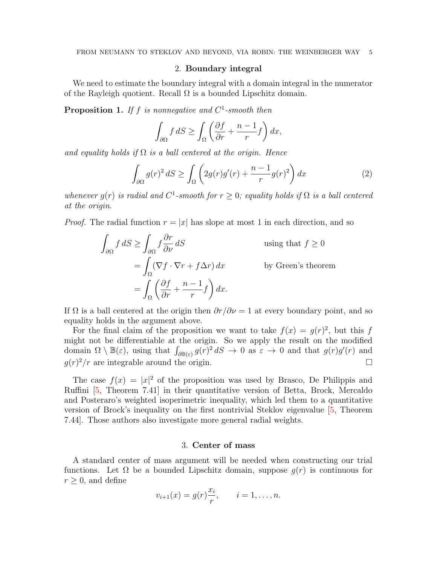## 2. Boundary integral

We need to estimate the boundary integral with a domain integral in the numerator of the Rayleigh quotient. Recall  $\Omega$  is a bounded Lipschitz domain.

<span id="page-4-0"></span>**Proposition 1.** If f is nonnegative and  $C^1$ -smooth then

$$
\int_{\partial\Omega} f \, dS \ge \int_{\Omega} \left( \frac{\partial f}{\partial r} + \frac{n-1}{r} f \right) dx,
$$

and equality holds if  $\Omega$  is a ball centered at the origin. Hence

<span id="page-4-1"></span>
$$
\int_{\partial\Omega} g(r)^2 \, dS \ge \int_{\Omega} \left( 2g(r)g'(r) + \frac{n-1}{r}g(r)^2 \right) dx \tag{2}
$$

whenever  $g(r)$  is radial and  $C^1$ -smooth for  $r \geq 0$ ; equality holds if  $\Omega$  is a ball centered at the origin.

*Proof.* The radial function  $r = |x|$  has slope at most 1 in each direction, and so

$$
\int_{\partial\Omega} f \, dS \ge \int_{\partial\Omega} f \frac{\partial r}{\partial \nu} \, dS \qquad \text{using that } f \ge 0
$$

$$
= \int_{\Omega} (\nabla f \cdot \nabla r + f \Delta r) \, dx \qquad \text{by Green's theorem}
$$

$$
= \int_{\Omega} \left( \frac{\partial f}{\partial r} + \frac{n-1}{r} f \right) dx.
$$

If  $\Omega$  is a ball centered at the origin then  $\partial r/\partial \nu = 1$  at every boundary point, and so equality holds in the argument above.

For the final claim of the proposition we want to take  $f(x) = g(r)^2$ , but this f might not be differentiable at the origin. So we apply the result on the modified domain  $\Omega \setminus \mathbb{B}(\varepsilon)$ , using that  $\int_{\partial \mathbb{B}(\varepsilon)} g(r)^2 dS \to 0$  as  $\varepsilon \to 0$  and that  $g(r)g'(r)$  and  $g(r)^2/r$  are integrable around the origin.

The case  $f(x) = |x|^2$  of the proposition was used by Brasco, De Philippis and Ruffini [\[5,](#page-21-16) Theorem 7.41] in their quantitative version of Betta, Brock, Mercaldo and Posteraro's weighted isoperimetric inequality, which led them to a quantitative version of Brock's inequality on the first nontrivial Steklov eigenvalue [\[5,](#page-21-16) Theorem 7.44]. Those authors also investigate more general radial weights.

#### 3. Center of mass

A standard center of mass argument will be needed when constructing our trial functions. Let  $\Omega$  be a bounded Lipschitz domain, suppose  $g(r)$  is continuous for  $r \geq 0$ , and define

$$
v_{i+1}(x) = g(r) \frac{x_i}{r}, \qquad i = 1, ..., n.
$$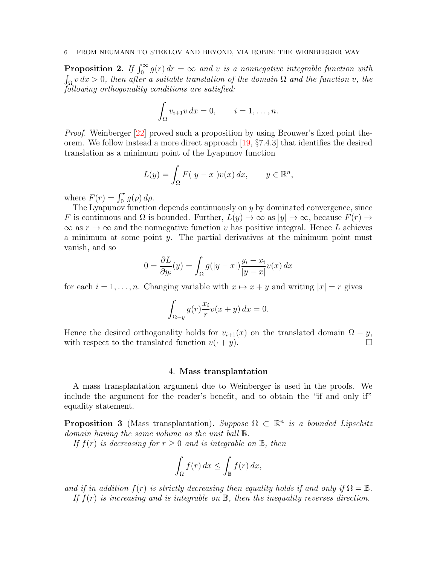<span id="page-5-0"></span>**Proposition 2.** If  $\int_0^\infty g(r) dr = \infty$  and v is a nonnegative integrable function with  $\int_{\Omega} v \, dx > 0$ , then after a suitable translation of the domain  $\Omega$  and the function v, the following orthogonality conditions are satisfied:

$$
\int_{\Omega} v_{i+1}v \, dx = 0, \qquad i = 1, \dots, n.
$$

Proof. Weinberger [\[22\]](#page-22-2) proved such a proposition by using Brouwer's fixed point theorem. We follow instead a more direct approach [\[19,](#page-21-3) §7.4.3] that identifies the desired translation as a minimum point of the Lyapunov function

$$
L(y) = \int_{\Omega} F(|y - x|) v(x) dx, \qquad y \in \mathbb{R}^n,
$$

where  $F(r) = \int_0^r g(\rho) d\rho$ .

The Lyapunov function depends continuously on y by dominated convergence, since F is continuous and  $\Omega$  is bounded. Further,  $L(y) \to \infty$  as  $|y| \to \infty$ , because  $F(r) \to$  $\infty$  as  $r \to \infty$  and the nonnegative function v has positive integral. Hence L achieves a minimum at some point  $y$ . The partial derivatives at the minimum point must vanish, and so

$$
0 = \frac{\partial L}{\partial y_i}(y) = \int_{\Omega} g(|y - x|) \frac{y_i - x_i}{|y - x|} v(x) dx
$$

for each  $i = 1, \ldots, n$ . Changing variable with  $x \mapsto x + y$  and writing  $|x| = r$  gives

$$
\int_{\Omega-y} g(r) \frac{x_i}{r} v(x+y) \, dx = 0.
$$

Hence the desired orthogonality holds for  $v_{i+1}(x)$  on the translated domain  $\Omega - y$ , with respect to the translated function  $v(\cdot + y)$ .

#### 4. Mass transplantation

A mass transplantation argument due to Weinberger is used in the proofs. We include the argument for the reader's benefit, and to obtain the "if and only if" equality statement.

<span id="page-5-1"></span>**Proposition 3** (Mass transplantation). Suppose  $\Omega \subset \mathbb{R}^n$  is a bounded Lipschitz domain having the same volume as the unit ball B.

If  $f(r)$  is decreasing for  $r \geq 0$  and is integrable on  $\mathbb{B}$ , then

$$
\int_{\Omega} f(r) dx \le \int_{\mathbb{B}} f(r) dx,
$$

and if in addition  $f(r)$  is strictly decreasing then equality holds if and only if  $\Omega = \mathbb{B}$ . If  $f(r)$  is increasing and is integrable on  $\mathbb{B}$ , then the inequality reverses direction.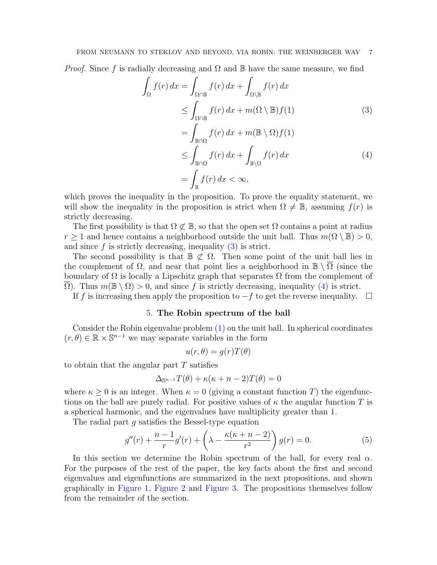*Proof.* Since f is radially decreasing and  $\Omega$  and  $\mathbb B$  have the same measure, we find

<span id="page-6-1"></span><span id="page-6-0"></span>
$$
\int_{\Omega} f(r) dx = \int_{\Omega \cap \mathbb{B}} f(r) dx + \int_{\Omega \setminus \mathbb{B}} f(r) dx
$$
\n
$$
\leq \int_{\Omega \cap \mathbb{B}} f(r) dx + m(\Omega \setminus \mathbb{B}) f(1)
$$
\n
$$
= \int_{\mathbb{B} \cap \Omega} f(r) dx + m(\mathbb{B} \setminus \Omega) f(1)
$$
\n
$$
\leq \int_{\mathbb{B} \cap \Omega} f(r) dx + \int_{\mathbb{B} \setminus \Omega} f(r) dx
$$
\n
$$
= \int_{\mathbb{B}} f(r) dx < \infty,
$$
\n(4)

which proves the inequality in the proposition. To prove the equality statement, we will show the inequality in the proposition is strict when  $\Omega \neq \mathbb{B}$ , assuming  $f(r)$  is strictly decreasing.

The first possibility is that  $\Omega \not\subset \mathbb{B}$ , so that the open set  $\Omega$  contains a point at radius  $r \geq 1$  and hence contains a neighborhood outside the unit ball. Thus  $m(\Omega \setminus \mathbb{B}) > 0$ , and since  $f$  is strictly decreasing, inequality  $(3)$  is strict.

The second possibility is that  $\mathbb{B} \not\subset \Omega$ . Then some point of the unit ball lies in the complement of  $\Omega$ , and near that point lies a neighborhood in  $\mathbb{B} \setminus \overline{\Omega}$  (since the boundary of  $\Omega$  is locally a Lipschitz graph that separates  $\Omega$  from the complement of  $\Omega$ ). Thus  $m(\mathbb{B} \setminus \Omega) > 0$ , and since f is strictly decreasing, inequality [\(4\)](#page-6-1) is strict.

<span id="page-6-3"></span>If f is increasing then apply the proposition to  $-f$  to get the reverse inequality.  $□$ 

## 5. The Robin spectrum of the ball

Consider the Robin eigenvalue problem [\(1\)](#page-0-1) on the unit ball. In spherical coordinates  $(r, \theta) \in \mathbb{R} \times \mathbb{S}^{n-1}$  we may separate variables in the form

$$
u(r,\theta) = g(r)T(\theta)
$$

to obtain that the angular part  $T$  satisfies

$$
\Delta_{\mathbb{S}^{n-1}}T(\theta) + \kappa(\kappa + n - 2)T(\theta) = 0
$$

where  $\kappa \geq 0$  is an integer. When  $\kappa = 0$  (giving a constant function T) the eigenfunctions on the ball are purely radial. For positive values of  $\kappa$  the angular function T is a spherical harmonic, and the eigenvalues have multiplicity greater than 1.

The radial part q satisfies the Bessel-type equation

<span id="page-6-2"></span>
$$
g''(r) + \frac{n-1}{r}g'(r) + \left(\lambda - \frac{\kappa(\kappa + n - 2)}{r^2}\right)g(r) = 0.
$$
 (5)

In this section we determine the Robin spectrum of the ball, for every real  $\alpha$ . For the purposes of the rest of the paper, the key facts about the first and second eigenvalues and eigenfunctions are summarized in the next propositions, and shown graphically in [Figure 1,](#page-7-0) [Figure 2](#page-8-0) and [Figure 3.](#page-8-1) The propositions themselves follow from the remainder of the section.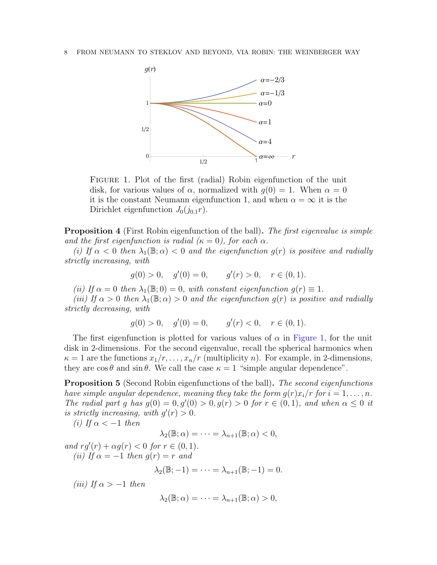

<span id="page-7-0"></span>Figure 1. Plot of the first (radial) Robin eigenfunction of the unit disk, for various values of  $\alpha$ , normalized with  $q(0) = 1$ . When  $\alpha = 0$ it is the constant Neumann eigenfunction 1, and when  $\alpha = \infty$  it is the Dirichlet eigenfunction  $J_0(j_{0,1}r)$ .

**Proposition 4** (First Robin eigenfunction of the ball). The first eigenvalue is simple and the first eigenfunction is radial  $(\kappa = 0)$ , for each  $\alpha$ .

(i) If  $\alpha < 0$  then  $\lambda_1(\mathbb{B}; \alpha) < 0$  and the eigenfunction  $g(r)$  is positive and radially strictly increasing, with

$$
g(0) > 0
$$
,  $g'(0) = 0$ ,  $g'(r) > 0$ ,  $r \in (0, 1)$ .

(ii) If  $\alpha = 0$  then  $\lambda_1(\mathbb{B};0) = 0$ , with constant eigenfunction  $g(r) \equiv 1$ .

(iii) If  $\alpha > 0$  then  $\lambda_1(\mathbb{B}; \alpha) > 0$  and the eigenfunction  $q(r)$  is positive and radially strictly decreasing, with

$$
g(0) > 0
$$
,  $g'(0) = 0$ ,  $g'(r) < 0$ ,  $r \in (0, 1)$ .

The first eigenfunction is plotted for various values of  $\alpha$  in [Figure 1,](#page-7-0) for the unit disk in 2-dimensions. For the second eigenvalue, recall the spherical harmonics when  $\kappa = 1$  are the functions  $x_1/r, \ldots, x_n/r$  (multiplicity *n*). For example, in 2-dimensions, they are  $\cos \theta$  and  $\sin \theta$ . We call the case  $\kappa = 1$  "simple angular dependence".

<span id="page-7-1"></span>**Proposition 5** (Second Robin eigenfunctions of the ball). The second eigenfunctions have simple angular dependence, meaning they take the form  $g(r)x_i/r$  for  $i = 1, \ldots, n$ . The radial part g has  $g(0) = 0, g'(0) > 0, g(r) > 0$  for  $r \in (0, 1)$ , and when  $\alpha \leq 0$  it is strictly increasing, with  $g'(r) > 0$ .

(i) If  $\alpha < -1$  then

$$
\lambda_2(\mathbb{B}; \alpha) = \cdots = \lambda_{n+1}(\mathbb{B}; \alpha) < 0,
$$

and  $rg'(r) + \alpha g(r) < 0$  for  $r \in (0, 1)$ . (ii) If  $\alpha = -1$  then  $g(r) = r$  and

$$
\lambda_2(\mathbb{B};-1)=\cdots=\lambda_{n+1}(\mathbb{B};-1)=0.
$$

(iii) If  $\alpha > -1$  then

$$
\lambda_2(\mathbb{B};\alpha)=\cdots=\lambda_{n+1}(\mathbb{B};\alpha)>0,
$$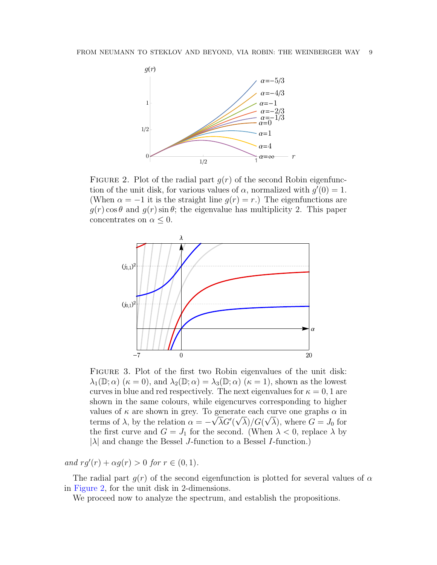

<span id="page-8-0"></span>FIGURE 2. Plot of the radial part  $g(r)$  of the second Robin eigenfunction of the unit disk, for various values of  $\alpha$ , normalized with  $g'(0) = 1$ . (When  $\alpha = -1$  it is the straight line  $g(r) = r$ .) The eigenfunctions are  $g(r)$  cos  $\theta$  and  $g(r)$  sin  $\theta$ ; the eigenvalue has multiplicity 2. This paper concentrates on  $\alpha \leq 0$ .



<span id="page-8-1"></span>FIGURE 3. Plot of the first two Robin eigenvalues of the unit disk:  $\lambda_1(\mathbb{D}; \alpha)$  ( $\kappa = 0$ ), and  $\lambda_2(\mathbb{D}; \alpha) = \lambda_3(\mathbb{D}; \alpha)$  ( $\kappa = 1$ ), shown as the lowest curves in blue and red respectively. The next eigenvalues for  $\kappa = 0, 1$  are shown in the same colours, while eigencurves corresponding to higher values of  $\kappa$  are shown in grey. To generate each curve one graphs  $\alpha$  in terms of  $\lambda$ , by the relation  $\alpha = -\sqrt{\lambda}G'(\sqrt{\lambda})/G(\sqrt{\lambda})$ , where  $G = J_0$  for the first curve and  $G = J_1$  for the second. (When  $\lambda < 0$ , replace  $\lambda$  by  $|\lambda|$  and change the Bessel J-function to a Bessel I-function.)

and  $rg'(r) + \alpha g(r) > 0$  for  $r \in (0, 1)$ .

The radial part  $g(r)$  of the second eigenfunction is plotted for several values of  $\alpha$ in [Figure 2,](#page-8-0) for the unit disk in 2-dimensions.

We proceed now to analyze the spectrum, and establish the propositions.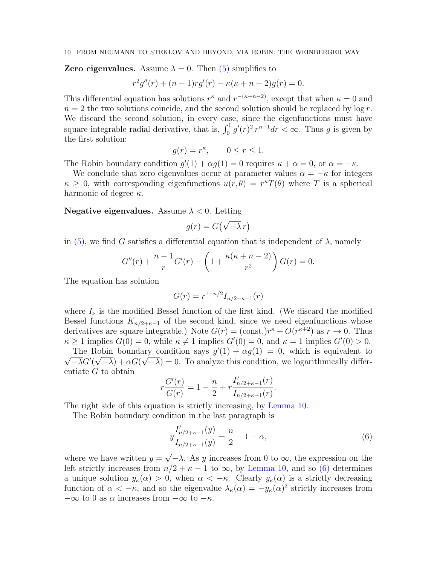## **Zero eigenvalues.** Assume  $\lambda = 0$ . Then [\(5\)](#page-6-2) simplifies to

$$
r^{2}g''(r) + (n - 1)rg'(r) - \kappa(\kappa + n - 2)g(r) = 0.
$$

This differential equation has solutions  $r^{\kappa}$  and  $r^{-(\kappa+n-2)}$ , except that when  $\kappa = 0$  and  $n = 2$  the two solutions coincide, and the second solution should be replaced by log r. We discard the second solution, in every case, since the eigenfunctions must have square integrable radial derivative, that is,  $\int_0^1 g'(r)^2 r^{n-1} dr < \infty$ . Thus g is given by the first solution:

$$
g(r) = r^{\kappa}, \qquad 0 \le r \le 1.
$$

The Robin boundary condition  $g'(1) + \alpha g(1) = 0$  requires  $\kappa + \alpha = 0$ , or  $\alpha = -\kappa$ .

We conclude that zero eigenvalues occur at parameter values  $\alpha = -\kappa$  for integers  $\kappa \geq 0$ , with corresponding eigenfunctions  $u(r, \theta) = r^{\kappa} T(\theta)$  where T is a spherical harmonic of degree  $\kappa$ .

## **Negative eigenvalues.** Assume  $\lambda < 0$ . Letting

$$
g(r) = G\left(\sqrt{-\lambda} \, r\right)
$$

in [\(5\),](#page-6-2) we find G satisfies a differential equation that is independent of  $\lambda$ , namely

$$
G''(r) + \frac{n-1}{r}G'(r) - \left(1 + \frac{\kappa(\kappa + n - 2)}{r^2}\right)G(r) = 0.
$$

The equation has solution

$$
G(r) = r^{1-n/2} I_{n/2+\kappa-1}(r)
$$

where  $I_{\nu}$  is the modified Bessel function of the first kind. (We discard the modified Bessel functions  $K_{n/2+\kappa-1}$  of the second kind, since we need eigenfunctions whose derivatives are square integrable.) Note  $G(r) = (\text{const.})r^{\kappa} + O(r^{\kappa+2})$  as  $r \to 0$ . Thus  $\kappa \ge 1$  implies  $G(0) = 0$ , while  $\kappa \ne 1$  implies  $G'(0) = 0$ , and  $\kappa = 1$  implies  $G'(0) > 0$ .

The Robin boundary condition says  $g'(1) + \alpha g(1) = 0$ , which is equivalent to √  $-\overline{\lambda}G'(\sqrt{-\lambda}) + \alpha G(\sqrt{-\lambda}) = 0$ . To analyze this condition, we logarithmically differentiate G to obtain

$$
r\frac{G'(r)}{G(r)} = 1 - \frac{n}{2} + r\frac{I'_{n/2+\kappa-1}(r)}{I_{n/2+\kappa-1}(r)}.
$$

The right side of this equation is strictly increasing, by [Lemma 10.](#page-19-0)

The Robin boundary condition in the last paragraph is

<span id="page-9-0"></span>
$$
y\frac{I'_{n/2+\kappa-1}(y)}{I_{n/2+\kappa-1}(y)} = \frac{n}{2} - 1 - \alpha,
$$
\n(6)

where we have written  $y =$ √  $-\lambda$ . As y increases from 0 to  $\infty$ , the expression on the left strictly increases from  $n/2 + \kappa - 1$  to  $\infty$ , by [Lemma 10,](#page-19-0) and so [\(6\)](#page-9-0) determines a unique solution  $y_{\kappa}(\alpha) > 0$ , when  $\alpha < -\kappa$ . Clearly  $y_{\kappa}(\alpha)$  is a strictly decreasing function of  $\alpha < -\kappa$ , and so the eigenvalue  $\lambda_{\kappa}(\alpha) = -y_{\kappa}(\alpha)^2$  strictly increases from  $-\infty$  to 0 as  $\alpha$  increases from  $-\infty$  to  $-\kappa$ .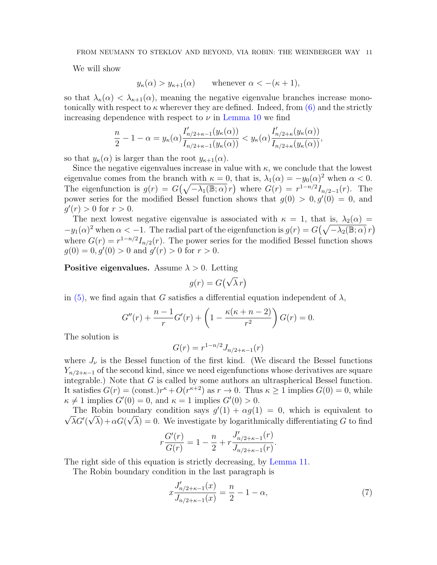We will show

 $y_{\kappa}(\alpha) > y_{\kappa+1}(\alpha)$  whenever  $\alpha < -(\kappa+1)$ ,

so that  $\lambda_{\kappa}(\alpha) < \lambda_{\kappa+1}(\alpha)$ , meaning the negative eigenvalue branches increase monotonically with respect to  $\kappa$  wherever they are defined. Indeed, from [\(6\)](#page-9-0) and the strictly increasing dependence with respect to  $\nu$  in [Lemma 10](#page-19-0) we find

$$
\frac{n}{2}-1-\alpha=y_\kappa(\alpha)\frac{I'_{n/2+\kappa-1}(y_\kappa(\alpha))}{I_{n/2+\kappa-1}(y_\kappa(\alpha))}
$$

so that  $y_{\kappa}(\alpha)$  is larger than the root  $y_{\kappa+1}(\alpha)$ .

Since the negative eigenvalues increase in value with  $\kappa$ , we conclude that the lowest eigenvalue comes from the branch with  $\kappa = 0$ , that is,  $\lambda_1(\alpha) = -y_0(\alpha)^2$  when  $\alpha < 0$ . The eigenfunction is  $g(r) = G(\sqrt{-\lambda_1(\mathbb{B};\alpha)} r)$  where  $G(r) = r^{1-n/2} I_{n/2-1}(r)$ . The power series for the modified Bessel function shows that  $g(0) > 0, g'(0) = 0$ , and  $g'(r) > 0$  for  $r > 0$ .

The next lowest negative eigenvalue is associated with  $\kappa = 1$ , that is,  $\lambda_2(\alpha) =$  $-y_1(\alpha)^2$  when  $\alpha < -1$ . The radial part of the eigenfunction is  $g(r) = G(\sqrt{-\lambda_2(\mathbb{B};\alpha)} r)$ where  $G(r) = r^{1-n/2} I_{n/2}(r)$ . The power series for the modified Bessel function shows  $g(0) = 0, g'(0) > 0$  and  $g'(r) > 0$  for  $r > 0$ .

**Positive eigenvalues.** Assume  $\lambda > 0$ . Letting

$$
g(r) = G(\sqrt{\lambda}r)
$$

in [\(5\),](#page-6-2) we find again that G satisfies a differential equation independent of  $\lambda$ ,

$$
G''(r) + \frac{n-1}{r}G'(r) + \left(1 - \frac{\kappa(\kappa + n - 2)}{r^2}\right)G(r) = 0.
$$

The solution is

$$
G(r) = r^{1-n/2} J_{n/2+\kappa-1}(r)
$$

where  $J_{\nu}$  is the Bessel function of the first kind. (We discard the Bessel functions  $Y_{n/2+\kappa-1}$  of the second kind, since we need eigenfunctions whose derivatives are square integrable.) Note that  $G$  is called by some authors an ultraspherical Bessel function. It satisfies  $G(r) = (\text{const.})r^{\kappa} + O(r^{\kappa+2})$  as  $r \to 0$ . Thus  $\kappa \ge 1$  implies  $G(0) = 0$ , while  $\kappa \neq 1$  implies  $G'(0) = 0$ , and  $\kappa = 1$  implies  $G'(0) > 0$ .

The Robin boundary condition says  $g'(1) + \alpha g(1) = 0$ , which is equivalent to √  $\overline{\lambda}G'(\sqrt{\lambda})+\alpha G(\sqrt{\lambda})=0$ . We investigate by logarithmically differentiating G to find

$$
r\frac{G'(r)}{G(r)} = 1 - \frac{n}{2} + r\frac{J'_{n/2+\kappa-1}(r)}{J_{n/2+\kappa-1}(r)}.
$$

The right side of this equation is strictly decreasing, by [Lemma 11.](#page-20-0)

The Robin boundary condition in the last paragraph is

<span id="page-10-0"></span>
$$
x\frac{J'_{n/2+\kappa-1}(x)}{J_{n/2+\kappa-1}(x)} = \frac{n}{2} - 1 - \alpha,
$$
\n(7)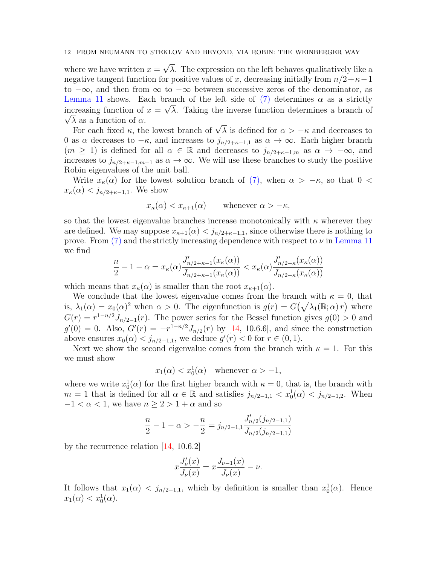where we have written  $x =$ √  $\lambda$ . The expression on the left behaves qualitatively like a negative tangent function for positive values of x, decreasing initially from  $n/2+\kappa-1$ to  $-\infty$ , and then from  $\infty$  to  $-\infty$  between successive zeros of the denominator, as [Lemma 11](#page-20-0) shows. Each branch of the left side of  $(7)$  determines  $\alpha$  as a strictly increasing function of  $x = \sqrt{\lambda}$ . Taking the inverse function determines a branch of  $\sqrt{\lambda}$  as a function of  $\alpha$ .

A as a function of  $\alpha$ .<br>For each fixed  $\kappa$ , the lowest branch of  $\sqrt{\lambda}$  is defined for  $\alpha > -\kappa$  and decreases to 0 as  $\alpha$  decreases to  $-\kappa$ , and increases to  $j_{n/2+\kappa-1,1}$  as  $\alpha \to \infty$ . Each higher branch  $(m \geq 1)$  is defined for all  $\alpha \in \mathbb{R}$  and decreases to  $j_{n/2+\kappa-1,m}$  as  $\alpha \to -\infty$ , and increases to  $j_{n/2+\kappa-1,m+1}$  as  $\alpha \to \infty$ . We will use these branches to study the positive Robin eigenvalues of the unit ball.

Write  $x_{\kappa}(\alpha)$  for the lowest solution branch of [\(7\),](#page-10-0) when  $\alpha > -\kappa$ , so that 0 <  $x_{\kappa}(\alpha) < j_{n/2+\kappa-1,1}$ . We show

$$
x_{\kappa}(\alpha) < x_{\kappa+1}(\alpha) \qquad \text{whenever } \alpha > -\kappa,
$$

so that the lowest eigenvalue branches increase monotonically with  $\kappa$  wherever they are defined. We may suppose  $x_{\kappa+1}(\alpha) < j_{n/2+\kappa-1,1}$ , since otherwise there is nothing to prove. From [\(7\)](#page-10-0) and the strictly increasing dependence with respect to  $\nu$  in [Lemma 11](#page-20-0) we find

$$
\frac{n}{2} - 1 - \alpha = x_{\kappa}(\alpha) \frac{J'_{n/2 + \kappa - 1}(x_{\kappa}(\alpha))}{J_{n/2 + \kappa - 1}(x_{\kappa}(\alpha))} < x_{\kappa}(\alpha) \frac{J'_{n/2 + \kappa}(x_{\kappa}(\alpha))}{J_{n/2 + \kappa}(x_{\kappa}(\alpha))}
$$

which means that  $x_{\kappa}(\alpha)$  is smaller than the root  $x_{\kappa+1}(\alpha)$ .

We conclude that the lowest eigenvalue comes from the branch with  $\kappa = 0$ , that is,  $\lambda_1(\alpha) = x_0(\alpha)^2$  when  $\alpha > 0$ . The eigenfunction is  $g(r) = G(\sqrt{\lambda_1(\mathbb{B}; \alpha)} r)$  where  $G(r) = r^{1-n/2} J_{n/2-1}(r)$ . The power series for the Bessel function gives  $g(0) > 0$  and  $g'(0) = 0$ . Also,  $G'(r) = -r^{1-n/2}J_{n/2}(r)$  by [\[14,](#page-21-17) 10.6.6], and since the construction above ensures  $x_0(\alpha) < j_{n/2-1,1}$ , we deduce  $g'(r) < 0$  for  $r \in (0,1)$ .

Next we show the second eigenvalue comes from the branch with  $\kappa = 1$ . For this we must show

$$
x_1(\alpha) < x_0^1(\alpha)
$$
 whenever  $\alpha > -1$ ,

where we write  $x_0^1(\alpha)$  for the first higher branch with  $\kappa = 0$ , that is, the branch with  $m = 1$  that is defined for all  $\alpha \in \mathbb{R}$  and satisfies  $j_{n/2-1,1} < x_0^1(\alpha) < j_{n/2-1,2}$ . When  $-1 < \alpha < 1$ , we have  $n \ge 2 > 1 + \alpha$  and so

$$
\frac{n}{2} - 1 - \alpha > -\frac{n}{2} = j_{n/2-1,1} \frac{J'_{n/2}(j_{n/2-1,1})}{J_{n/2}(j_{n/2-1,1})}
$$

by the recurrence relation [\[14,](#page-21-17) 10.6.2]

$$
x\frac{J'_{\nu}(x)}{J_{\nu}(x)} = x\frac{J_{\nu-1}(x)}{J_{\nu}(x)} - \nu.
$$

It follows that  $x_1(\alpha) < j_{n/2-1,1}$ , which by definition is smaller than  $x_0^1(\alpha)$ . Hence  $x_1(\alpha) < x_0^1(\alpha)$ .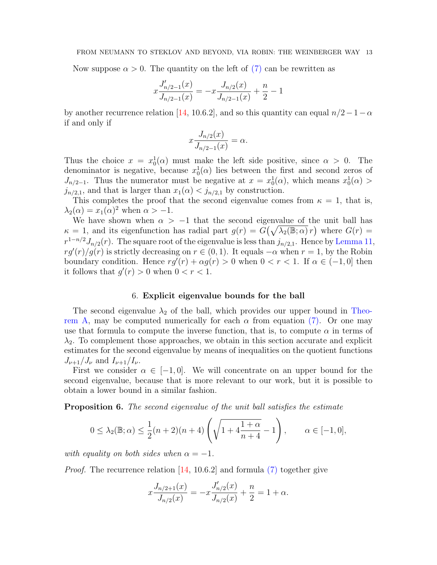Now suppose  $\alpha > 0$ . The quantity on the left of [\(7\)](#page-10-0) can be rewritten as

$$
x\frac{J'_{n/2-1}(x)}{J_{n/2-1}(x)} = -x\frac{J_{n/2}(x)}{J_{n/2-1}(x)} + \frac{n}{2} - 1
$$

by another recurrence relation [\[14,](#page-21-17) 10.6.2], and so this quantity can equal  $n/2-1-\alpha$ if and only if

$$
x\frac{J_{n/2}(x)}{J_{n/2-1}(x)} = \alpha.
$$

Thus the choice  $x = x_0^1(\alpha)$  must make the left side positive, since  $\alpha > 0$ . The denominator is negative, because  $x_0^1(\alpha)$  lies between the first and second zeros of  $J_{n/2-1}$ . Thus the numerator must be negative at  $x = x_0^1(\alpha)$ , which means  $x_0^1(\alpha)$  $j_{n/2,1}$ , and that is larger than  $x_1(\alpha) < j_{n/2,1}$  by construction.

This completes the proof that the second eigenvalue comes from  $\kappa = 1$ , that is,  $\lambda_2(\alpha) = x_1(\alpha)^2$  when  $\alpha > -1$ .

We have shown when  $\alpha > -1$  that the second eigenvalue of the unit ball has  $\kappa = 1$ , and its eigenfunction has radial part  $g(r) = G(\sqrt{\lambda_2(\mathbb{B};\alpha)} r)$  where  $G(r) =$  $r^{1-n/2}J_{n/2}(r)$ . The square root of the eigenvalue is less than  $j_{n/2,1}$ . Hence by [Lemma 11,](#page-20-0)  $r g'(r)/g(r)$  is strictly decreasing on  $r \in (0,1)$ . It equals  $-\alpha$  when  $r = 1$ , by the Robin boundary condition. Hence  $rg'(r) + \alpha g(r) > 0$  when  $0 < r < 1$ . If  $\alpha \in (-1, 0]$  then it follows that  $g'(r) > 0$  when  $0 < r < 1$ .

## 6. Explicit eigenvalue bounds for the ball

The second eigenvalue  $\lambda_2$  of the ball, which provides our upper bound in [Theo](#page-0-0)[rem A,](#page-0-0) may be computed numerically for each  $\alpha$  from equation [\(7\).](#page-10-0) Or one may use that formula to compute the inverse function, that is, to compute  $\alpha$  in terms of  $\lambda_2$ . To complement those approaches, we obtain in this section accurate and explicit estimates for the second eigenvalue by means of inequalities on the quotient functions  $J_{\nu+1}/J_{\nu}$  and  $I_{\nu+1}/I_{\nu}$ .

First we consider  $\alpha \in [-1, 0]$ . We will concentrate on an upper bound for the second eigenvalue, because that is more relevant to our work, but it is possible to obtain a lower bound in a similar fashion.

**Proposition 6.** The second eigenvalue of the unit ball satisfies the estimate

$$
0 \le \lambda_2(\mathbb{B}; \alpha) \le \frac{1}{2}(n+2)(n+4)\left(\sqrt{1+4\frac{1+\alpha}{n+4}}-1\right), \qquad \alpha \in [-1,0],
$$

with equality on both sides when  $\alpha = -1$ .

*Proof.* The recurrence relation  $[14, 10.6.2]$  $[14, 10.6.2]$  and formula  $(7)$  together give

$$
x\frac{J_{n/2+1}(x)}{J_{n/2}(x)} = -x\frac{J'_{n/2}(x)}{J_{n/2}(x)} + \frac{n}{2} = 1 + \alpha.
$$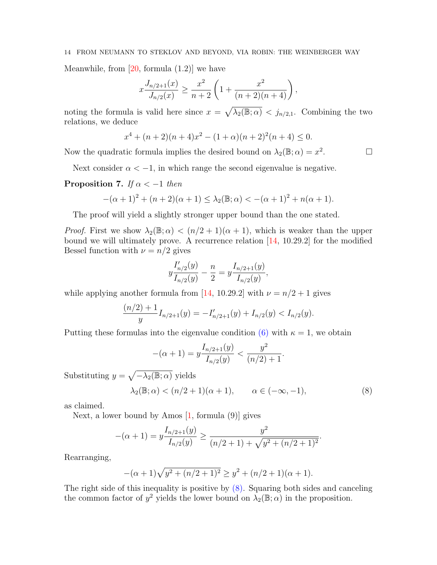Meanwhile, from  $[20, \text{ formula } (1.2)]$  $[20, \text{ formula } (1.2)]$  we have

$$
x\frac{J_{n/2+1}(x)}{J_{n/2}(x)} \ge \frac{x^2}{n+2} \left(1 + \frac{x^2}{(n+2)(n+4)}\right)
$$

,

noting the formula is valid here since  $x = \sqrt{\lambda_2(\mathbb{B}; \alpha)} < j_{n/2,1}$ . Combining the two relations, we deduce

$$
x^{4} + (n+2)(n+4)x^{2} - (1+\alpha)(n+2)^{2}(n+4) \le 0.
$$

Now the quadratic formula implies the desired bound on  $\lambda_2(\mathbb{B}; \alpha) = x^2$ 

. — П

Next consider  $\alpha < -1$ , in which range the second eigenvalue is negative.

## <span id="page-13-1"></span>**Proposition 7.** If  $\alpha < -1$  then

$$
-(\alpha+1)^2 + (n+2)(\alpha+1) \le \lambda_2(\mathbb{B}; \alpha) < -(\alpha+1)^2 + n(\alpha+1).
$$

The proof will yield a slightly stronger upper bound than the one stated.

*Proof.* First we show  $\lambda_2(\mathbb{B}; \alpha) < (n/2+1)(\alpha+1)$ , which is weaker than the upper bound we will ultimately prove. A recurrence relation  $[14, 10.29.2]$  $[14, 10.29.2]$  for the modified Bessel function with  $\nu = n/2$  gives

$$
y\frac{I'_{n/2}(y)}{I_{n/2}(y)} - \frac{n}{2} = y\frac{I_{n/2+1}(y)}{I_{n/2}(y)},
$$

while applying another formula from [\[14,](#page-21-17) 10.29.2] with  $\nu = n/2 + 1$  gives

$$
\frac{(n/2)+1}{y}I_{n/2+1}(y) = -I'_{n/2+1}(y) + I_{n/2}(y) < I_{n/2}(y).
$$

Putting these formulas into the eigenvalue condition [\(6\)](#page-9-0) with  $\kappa = 1$ , we obtain

$$
-(\alpha + 1) = y \frac{I_{n/2+1}(y)}{I_{n/2}(y)} < \frac{y^2}{(n/2) + 1}.
$$

Substituting  $y = \sqrt{-\lambda_2(\mathbb{B}; \alpha)}$  yields

<span id="page-13-0"></span>
$$
\lambda_2(\mathbb{B}; \alpha) < (n/2 + 1)(\alpha + 1), \qquad \alpha \in (-\infty, -1), \tag{8}
$$

.

as claimed.

Next, a lower bound by Amos  $[1, \text{formula } (9)]$  $[1, \text{formula } (9)]$  gives

$$
-(\alpha + 1) = y \frac{I_{n/2+1}(y)}{I_{n/2}(y)} \ge \frac{y^2}{(n/2+1) + \sqrt{y^2 + (n/2+1)^2}}
$$

Rearranging,

$$
-(\alpha+1)\sqrt{y^2 + (n/2+1)^2} \ge y^2 + (n/2+1)(\alpha+1).
$$

The right side of this inequality is positive by  $(8)$ . Squaring both sides and canceling the common factor of  $y^2$  yields the lower bound on  $\lambda_2(\mathbb{B}; \alpha)$  in the proposition.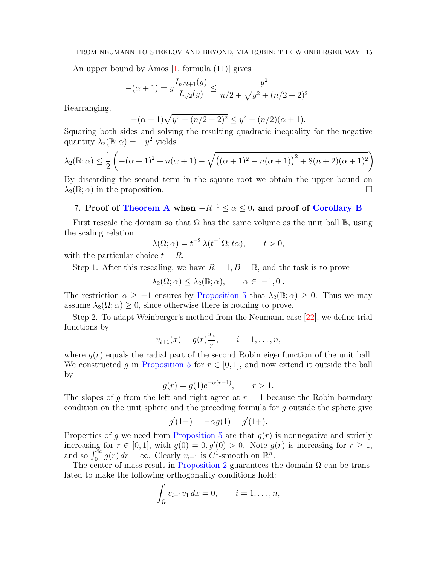An upper bound by Amos  $[1, \text{formula } (11)]$  $[1, \text{formula } (11)]$  gives

$$
-(\alpha+1) = y \frac{I_{n/2+1}(y)}{I_{n/2}(y)} \le \frac{y^2}{n/2 + \sqrt{y^2 + (n/2+2)^2}}.
$$

Rearranging,

$$
-(\alpha + 1)\sqrt{y^2 + (n/2 + 2)^2} \le y^2 + (n/2)(\alpha + 1).
$$

Squaring both sides and solving the resulting quadratic inequality for the negative quantity  $\lambda_2(\mathbb{B}; \alpha) = -y^2$  yields

$$
\lambda_2(\mathbb{B}; \alpha) \leq \frac{1}{2} \left( -(\alpha+1)^2 + n(\alpha+1) - \sqrt{((\alpha+1)^2 - n(\alpha+1))^2 + 8(n+2)(\alpha+1)^2} \right).
$$

By discarding the second term in the square root we obtain the upper bound on  $\lambda_2(\mathbb{B};\alpha)$  in the proposition.

## <span id="page-14-0"></span>7. Proof of [Theorem A](#page-0-0) when  $-R^{-1} \leq \alpha \leq 0$ , and proof of [Corollary B](#page-1-0)

First rescale the domain so that  $\Omega$  has the same volume as the unit ball  $\mathbb{B}$ , using the scaling relation

$$
\lambda(\Omega;\alpha) = t^{-2} \lambda(t^{-1}\Omega;t\alpha), \qquad t > 0,
$$

with the particular choice  $t = R$ .

Step 1. After this rescaling, we have  $R = 1, B = \mathbb{B}$ , and the task is to prove

$$
\lambda_2(\Omega; \alpha) \leq \lambda_2(\mathbb{B}; \alpha), \qquad \alpha \in [-1, 0].
$$

The restriction  $\alpha \geq -1$  ensures by [Proposition 5](#page-7-1) that  $\lambda_2(\mathbb{B}; \alpha) \geq 0$ . Thus we may assume  $\lambda_2(\Omega; \alpha) \geq 0$ , since otherwise there is nothing to prove.

Step 2. To adapt Weinberger's method from the Neumann case [\[22\]](#page-22-2), we define trial functions by

$$
v_{i+1}(x) = g(r) \frac{x_i}{r}, \qquad i = 1, ..., n,
$$

where  $g(r)$  equals the radial part of the second Robin eigenfunction of the unit ball. We constructed g in [Proposition 5](#page-7-1) for  $r \in [0, 1]$ , and now extend it outside the ball by

$$
g(r) = g(1)e^{-\alpha(r-1)}, \quad r > 1.
$$

The slopes of g from the left and right agree at  $r = 1$  because the Robin boundary condition on the unit sphere and the preceding formula for g outside the sphere give

$$
g'(1-) = -\alpha g(1) = g'(1+).
$$

Properties of g we need from [Proposition 5](#page-7-1) are that  $g(r)$  is nonnegative and strictly increasing for  $r \in [0,1]$ , with  $g(0) = 0, g'(0) > 0$ . Note  $g(r)$  is increasing for  $r \geq 1$ , and so  $\int_0^\infty g(r) dr = \infty$ . Clearly  $v_{i+1}$  is  $C^1$ -smooth on  $\mathbb{R}^n$ .

The center of mass result in [Proposition 2](#page-5-0) guarantees the domain  $\Omega$  can be translated to make the following orthogonality conditions hold:

$$
\int_{\Omega} v_{i+1}v_1 dx = 0, \qquad i = 1, \dots, n,
$$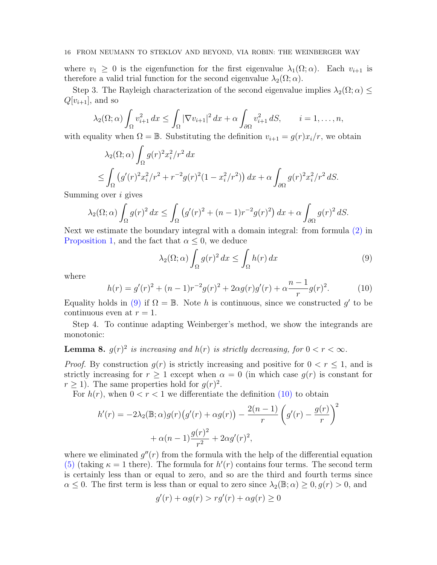where  $v_1 \geq 0$  is the eigenfunction for the first eigenvalue  $\lambda_1(\Omega; \alpha)$ . Each  $v_{i+1}$  is therefore a valid trial function for the second eigenvalue  $\lambda_2(\Omega; \alpha)$ .

Step 3. The Rayleigh characterization of the second eigenvalue implies  $\lambda_2(\Omega; \alpha) \leq$  $Q[v_{i+1}]$ , and so

$$
\lambda_2(\Omega;\alpha)\int_{\Omega}v_{i+1}^2 dx \leq \int_{\Omega}|\nabla v_{i+1}|^2 dx + \alpha \int_{\partial\Omega}v_{i+1}^2 dS, \qquad i = 1,\ldots,n,
$$

with equality when  $\Omega = \mathbb{B}$ . Substituting the definition  $v_{i+1} = g(r)x_i/r$ , we obtain

$$
\lambda_2(\Omega;\alpha) \int_{\Omega} g(r)^2 x_i^2 / r^2 dx
$$
  
\n
$$
\leq \int_{\Omega} (g'(r)^2 x_i^2 / r^2 + r^{-2} g(r)^2 (1 - x_i^2 / r^2)) dx + \alpha \int_{\partial \Omega} g(r)^2 x_i^2 / r^2 dS.
$$

Summing over i gives

$$
\lambda_2(\Omega;\alpha)\int_{\Omega}g(r)^2\,dx\leq \int_{\Omega}\left(g'(r)^2+(n-1)r^{-2}g(r)^2\right)dx+\alpha\int_{\partial\Omega}g(r)^2\,dS.
$$

Next we estimate the boundary integral with a domain integral: from formula [\(2\)](#page-4-1) in [Proposition 1,](#page-4-0) and the fact that  $\alpha \leq 0$ , we deduce

<span id="page-15-0"></span>
$$
\lambda_2(\Omega;\alpha) \int_{\Omega} g(r)^2 dx \le \int_{\Omega} h(r) dx \tag{9}
$$

where

<span id="page-15-1"></span>
$$
h(r) = g'(r)^{2} + (n - 1)r^{-2}g(r)^{2} + 2\alpha g(r)g'(r) + \alpha \frac{n - 1}{r}g(r)^{2}.
$$
 (10)

Equality holds in [\(9\)](#page-15-0) if  $\Omega = \mathbb{B}$ . Note h is continuous, since we constructed g' to be continuous even at  $r = 1$ .

Step 4. To continue adapting Weinberger's method, we show the integrands are monotonic:

<span id="page-15-2"></span>**Lemma 8.**  $g(r)^2$  is increasing and  $h(r)$  is strictly decreasing, for  $0 < r < \infty$ .

*Proof.* By construction  $g(r)$  is strictly increasing and positive for  $0 < r \leq 1$ , and is strictly increasing for  $r \geq 1$  except when  $\alpha = 0$  (in which case  $g(r)$  is constant for  $r \geq 1$ ). The same properties hold for  $g(r)^2$ .

For  $h(r)$ , when  $0 < r < 1$  we differentiate the definition [\(10\)](#page-15-1) to obtain

$$
h'(r) = -2\lambda_2(\mathbb{B}; \alpha)g(r)\big(g'(r) + \alpha g(r)\big) - \frac{2(n-1)}{r}\bigg(g'(r) - \frac{g(r)}{r}\bigg)^2 + \alpha(n-1)\frac{g(r)^2}{r^2} + 2\alpha g'(r)^2,
$$

where we eliminated  $g''(r)$  from the formula with the help of the differential equation [\(5\)](#page-6-2) (taking  $\kappa = 1$  there). The formula for  $h'(r)$  contains four terms. The second term is certainly less than or equal to zero, and so are the third and fourth terms since  $\alpha \leq 0$ . The first term is less than or equal to zero since  $\lambda_2(\mathbb{B}; \alpha) \geq 0, g(r) > 0$ , and

$$
g'(r) + \alpha g(r) > rg'(r) + \alpha g(r) \ge 0
$$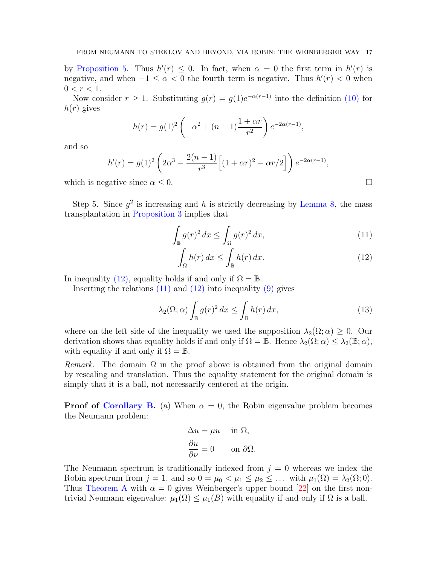by [Proposition 5.](#page-7-1) Thus  $h'(r) \leq 0$ . In fact, when  $\alpha = 0$  the first term in  $h'(r)$  is negative, and when  $-1 \leq \alpha < 0$  the fourth term is negative. Thus  $h'(r) < 0$  when  $0 < r < 1$ .

Now consider  $r \geq 1$ . Substituting  $g(r) = g(1)e^{-\alpha(r-1)}$  into the definition [\(10\)](#page-15-1) for  $h(r)$  gives

$$
h(r) = g(1)^{2} \left(-\alpha^{2} + (n-1)\frac{1+\alpha r}{r^{2}}\right) e^{-2\alpha(r-1)},
$$

and so

$$
h'(r) = g(1)^2 \left(2\alpha^3 - \frac{2(n-1)}{r^3} \left[ (1+\alpha r)^2 - \alpha r/2 \right] \right) e^{-2\alpha(r-1)},
$$

which is negative since  $\alpha \leq 0$ .

Step 5. Since  $g^2$  is increasing and h is strictly decreasing by [Lemma 8,](#page-15-2) the mass transplantation in [Proposition 3](#page-5-1) implies that

$$
\int_{\mathbb{B}} g(r)^2 dx \le \int_{\Omega} g(r)^2 dx,
$$
\n(11)

$$
\int_{\Omega} h(r) dx \le \int_{\mathbb{B}} h(r) dx.
$$
 (12)

In inequality [\(12\),](#page-16-0) equality holds if and only if  $\Omega = \mathbb{B}$ .

Inserting the relations  $(11)$  and  $(12)$  into inequality  $(9)$  gives

<span id="page-16-2"></span>
$$
\lambda_2(\Omega;\alpha) \int_{\mathbb{B}} g(r)^2 dx \le \int_{\mathbb{B}} h(r) dx,
$$
\n(13)

where on the left side of the inequality we used the supposition  $\lambda_2(\Omega; \alpha) \geq 0$ . Our derivation shows that equality holds if and only if  $\Omega = \mathbb{B}$ . Hence  $\lambda_2(\Omega; \alpha) \leq \lambda_2(\mathbb{B}; \alpha)$ , with equality if and only if  $\Omega = \mathbb{B}$ .

Remark. The domain  $\Omega$  in the proof above is obtained from the original domain by rescaling and translation. Thus the equality statement for the original domain is simply that it is a ball, not necessarily centered at the origin.

**Proof of [Corollary B.](#page-1-0)** (a) When  $\alpha = 0$ , the Robin eigenvalue problem becomes the Neumann problem:

$$
-\Delta u = \mu u \quad \text{in } \Omega,
$$
  

$$
\frac{\partial u}{\partial \nu} = 0 \quad \text{on } \partial \Omega.
$$

The Neumann spectrum is traditionally indexed from  $j = 0$  whereas we index the Robin spectrum from  $j = 1$ , and so  $0 = \mu_0 < \mu_1 \leq \mu_2 \leq \ldots$  with  $\mu_1(\Omega) = \lambda_2(\Omega; 0)$ . Thus [Theorem A](#page-0-0) with  $\alpha = 0$  gives Weinberger's upper bound [\[22\]](#page-22-2) on the first nontrivial Neumann eigenvalue:  $\mu_1(\Omega) \leq \mu_1(B)$  with equality if and only if  $\Omega$  is a ball.

<span id="page-16-1"></span><span id="page-16-0"></span>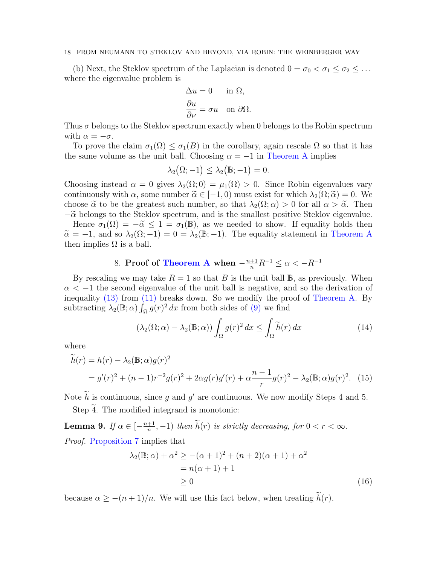(b) Next, the Steklov spectrum of the Laplacian is denoted  $0 = \sigma_0 < \sigma_1 \leq \sigma_2 \leq \ldots$ where the eigenvalue problem is

$$
\Delta u = 0 \quad \text{in } \Omega,
$$
  

$$
\frac{\partial u}{\partial \nu} = \sigma u \quad \text{on } \partial \Omega.
$$

Thus  $\sigma$  belongs to the Steklov spectrum exactly when 0 belongs to the Robin spectrum with  $\alpha = -\sigma$ .

To prove the claim  $\sigma_1(\Omega) \leq \sigma_1(B)$  in the corollary, again rescale  $\Omega$  so that it has the same volume as the unit ball. Choosing  $\alpha = -1$  in [Theorem A](#page-0-0) implies

$$
\lambda_2(\Omega;-1)\leq \lambda_2\big(\mathbb{B};-1\big)=0.
$$

Choosing instead  $\alpha = 0$  gives  $\lambda_2(\Omega; 0) = \mu_1(\Omega) > 0$ . Since Robin eigenvalues vary continuously with  $\alpha$ , some number  $\tilde{\alpha} \in [-1, 0)$  must exist for which  $\lambda_2(\Omega; \tilde{\alpha}) = 0$ . We choose  $\tilde{\alpha}$  to be the greatest such number, so that  $\lambda_2(\Omega; \alpha) > 0$  for all  $\alpha > \tilde{\alpha}$ . Then  $-\tilde{\alpha}$  belongs to the Steklov spectrum, and is the smallest positive Steklov eigenvalue. Hence  $\sigma_1(\Omega) = -\tilde{\alpha} \leq 1 = \sigma_1(\mathbb{B})$ , as we needed to show. If equality holds then  $\tilde{\alpha} = -1$ , and so  $\lambda_2(\Omega; -1) = 0 = \lambda_2(\mathbb{B}; -1)$ . The equality statement in [Theorem A](#page-0-0) then implies  $\Omega$  is a ball.

# 8. Proof of [Theorem A](#page-0-0) when  $-\frac{n+1}{n}R^{-1} \leq \alpha < -R^{-1}$

<span id="page-17-0"></span>By rescaling we may take  $R = 1$  so that B is the unit ball  $\mathbb{B}$ , as previously. When  $\alpha < -1$  the second eigenvalue of the unit ball is negative, and so the derivation of inequality [\(13\)](#page-16-2) from [\(11\)](#page-16-1) breaks down. So we modify the proof of [Theorem A.](#page-0-0) By subtracting  $\lambda_2(\mathbb{B}; \alpha) \int_{\Omega} g(r)^2 dx$  from both sides of [\(9\)](#page-15-0) we find

<span id="page-17-4"></span><span id="page-17-1"></span>
$$
\left(\lambda_2(\Omega;\alpha) - \lambda_2(\mathbb{B};\alpha)\right) \int_{\Omega} g(r)^2 \, dx \le \int_{\Omega} \widetilde{h}(r) \, dx \tag{14}
$$

where

$$
\widetilde{h}(r) = h(r) - \lambda_2(\mathbb{B}; \alpha)g(r)^2
$$
  
=  $g'(r)^2 + (n-1)r^{-2}g(r)^2 + 2\alpha g(r)g'(r) + \alpha \frac{n-1}{r}g(r)^2 - \lambda_2(\mathbb{B}; \alpha)g(r)^2$ . (15)

Note  $\hat{h}$  is continuous, since g and g' are continuous. We now modify Steps 4 and 5. Step  $\overline{4}$ . The modified integrand is monotonic:

<span id="page-17-3"></span>Lemma 9. If  $\alpha \in \left[-\frac{n+1}{n}\right]$  $\frac{+1}{n}, -1$ ) then  $h(r)$  is strictly decreasing, for  $0 < r < \infty$ . Proof. [Proposition 7](#page-13-1) implies that

<span id="page-17-2"></span>
$$
\lambda_2(\mathbb{B}; \alpha) + \alpha^2 \ge -(\alpha + 1)^2 + (n + 2)(\alpha + 1) + \alpha^2
$$
  
=  $n(\alpha + 1) + 1$   
 $\ge 0$  (16)

because  $\alpha \geq -(n+1)/n$ . We will use this fact below, when treating  $\tilde{h}(r)$ .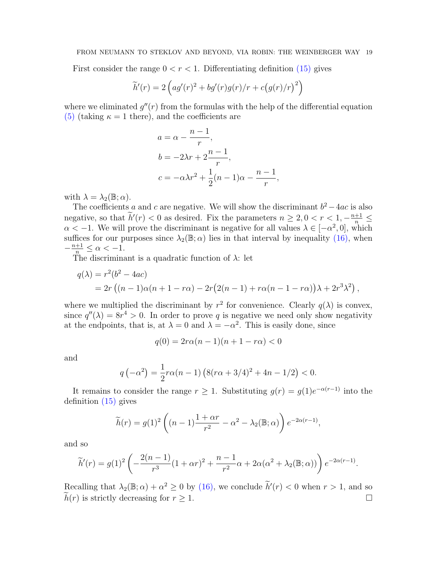First consider the range  $0 < r < 1$ . Differentiating definition [\(15\)](#page-17-1) gives

$$
\widetilde{h}'(r) = 2\left( ag'(r)^{2} + bg'(r)g(r)/r + c\left(g(r)/r\right)^{2} \right)
$$

where we eliminated  $g''(r)$  from the formulas with the help of the differential equation [\(5\)](#page-6-2) (taking  $\kappa = 1$  there), and the coefficients are

$$
a = \alpha - \frac{n-1}{r},
$$
  
\n
$$
b = -2\lambda r + 2\frac{n-1}{r},
$$
  
\n
$$
c = -\alpha\lambda r^2 + \frac{1}{2}(n-1)\alpha - \frac{n-1}{r},
$$

with  $\lambda = \lambda_2(\mathbb{B}; \alpha)$ .

The coefficients a and c are negative. We will show the discriminant  $b^2 - 4ac$  is also negative, so that  $\tilde{h}'(r) < 0$  as desired. Fix the parameters  $n \geq 2, 0 < r < 1, -\frac{n+1}{n} \leq$  $\alpha < -1$ . We will prove the discriminant is negative for all values  $\lambda \in [-\alpha^2, 0]$ , which suffices for our purposes since  $\lambda_2(\mathbb{B}; \alpha)$  lies in that interval by inequality [\(16\),](#page-17-2) when  $-\frac{n+1}{n} \leq \alpha < -1.$ 

The discriminant is a quadratic function of  $\lambda$ : let

$$
q(\lambda) = r^2(b^2 - 4ac)
$$
  
=  $2r ((n - 1)\alpha(n + 1 - r\alpha) - 2r(2(n - 1) + r\alpha(n - 1 - r\alpha))\lambda + 2r^3\lambda^2),$ 

where we multiplied the discriminant by  $r^2$  for convenience. Clearly  $q(\lambda)$  is convex, since  $q''(\lambda) = 8r^4 > 0$ . In order to prove q is negative we need only show negativity at the endpoints, that is, at  $\lambda = 0$  and  $\lambda = -\alpha^2$ . This is easily done, since

$$
q(0) = 2r\alpha(n-1)(n+1-r\alpha) < 0
$$

and

$$
q(-\alpha^2) = \frac{1}{2}r\alpha(n-1)\left(8(r\alpha+3/4)^2+4n-1/2\right) < 0.
$$

It remains to consider the range  $r \geq 1$ . Substituting  $g(r) = g(1)e^{-\alpha(r-1)}$  into the definition [\(15\)](#page-17-1) gives

$$
\widetilde{h}(r) = g(1)^2 \left( (n-1) \frac{1+\alpha r}{r^2} - \alpha^2 - \lambda_2(\mathbb{B}; \alpha) \right) e^{-2\alpha(r-1)},
$$

and so

$$
\widetilde{h}'(r) = g(1)^2 \left( -\frac{2(n-1)}{r^3} (1+\alpha r)^2 + \frac{n-1}{r^2} \alpha + 2\alpha (\alpha^2 + \lambda_2(\mathbb{B}; \alpha)) \right) e^{-2\alpha(r-1)}.
$$

Recalling that  $\lambda_2(\mathbb{B}; \alpha) + \alpha^2 \ge 0$  by [\(16\),](#page-17-2) we conclude  $\widetilde{h}'(r) < 0$  when  $r > 1$ , and so  $\widehat{h}(r)$  is strictly decreasing for  $r \geq 1$ .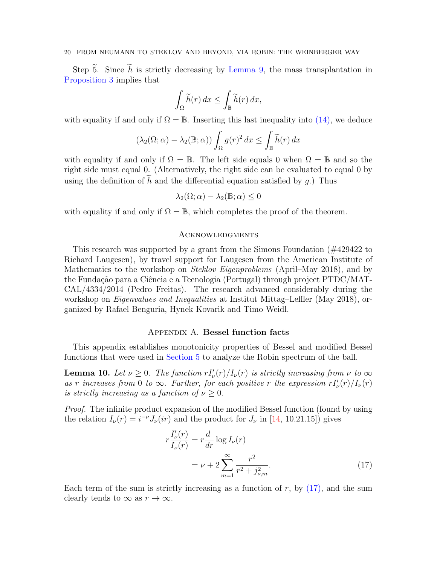Step  $\tilde{5}$ . Since  $\tilde{h}$  is strictly decreasing by [Lemma 9,](#page-17-3) the mass transplantation in [Proposition 3](#page-5-1) implies that

$$
\int_{\Omega} \widetilde{h}(r) \, dx \le \int_{\mathbb{B}} \widetilde{h}(r) \, dx,
$$

with equality if and only if  $\Omega = \mathbb{B}$ . Inserting this last inequality into [\(14\),](#page-17-4) we deduce

$$
(\lambda_2(\Omega;\alpha) - \lambda_2(\mathbb{B};\alpha)) \int_{\Omega} g(r)^2 dx \le \int_{\mathbb{B}} \widetilde{h}(r) dx
$$

with equality if and only if  $\Omega = \mathbb{B}$ . The left side equals 0 when  $\Omega = \mathbb{B}$  and so the right side must equal 0. (Alternatively, the right side can be evaluated to equal 0 by using the definition of  $\tilde{h}$  and the differential equation satisfied by g.) Thus

$$
\lambda_2(\Omega;\alpha) - \lambda_2(\mathbb{B};\alpha) \le 0
$$

with equality if and only if  $\Omega = \mathbb{B}$ , which completes the proof of the theorem.

#### **ACKNOWLEDGMENTS**

This research was supported by a grant from the Simons Foundation (#429422 to Richard Laugesen), by travel support for Laugesen from the American Institute of Mathematics to the workshop on *Steklov Eigenproblems* (April–May 2018), and by the Fundação para a Ciência e a Tecnologia (Portugal) through project PTDC/MAT-CAL/4334/2014 (Pedro Freitas). The research advanced considerably during the workshop on *Eigenvalues and Inequalities* at Institut Mittag–Leffler (May 2018), organized by Rafael Benguria, Hynek Kovarik and Timo Weidl.

#### Appendix A. Bessel function facts

This appendix establishes monotonicity properties of Bessel and modified Bessel functions that were used in [Section 5](#page-6-3) to analyze the Robin spectrum of the ball.

<span id="page-19-0"></span>**Lemma 10.** Let  $\nu \geq 0$ . The function  $r I_{\nu}'(r) / I_{\nu}(r)$  is strictly increasing from  $\nu$  to  $\infty$ as r increases from 0 to  $\infty$ . Further, for each positive r the expression  $rI_{\nu}'(r)/I_{\nu}(r)$ is strictly increasing as a function of  $\nu \geq 0$ .

Proof. The infinite product expansion of the modified Bessel function (found by using the relation  $I_{\nu}(r) = i^{-\nu} J_{\nu}(ir)$  and the product for  $J_{\nu}$  in [\[14,](#page-21-17) 10.21.15]) gives

<span id="page-19-1"></span>
$$
r \frac{I'_{\nu}(r)}{I_{\nu}(r)} = r \frac{d}{dr} \log I_{\nu}(r)
$$
  
=  $\nu + 2 \sum_{m=1}^{\infty} \frac{r^2}{r^2 + j_{\nu,m}^2}.$  (17)

Each term of the sum is strictly increasing as a function of  $r$ , by  $(17)$ , and the sum clearly tends to  $\infty$  as  $r \to \infty$ .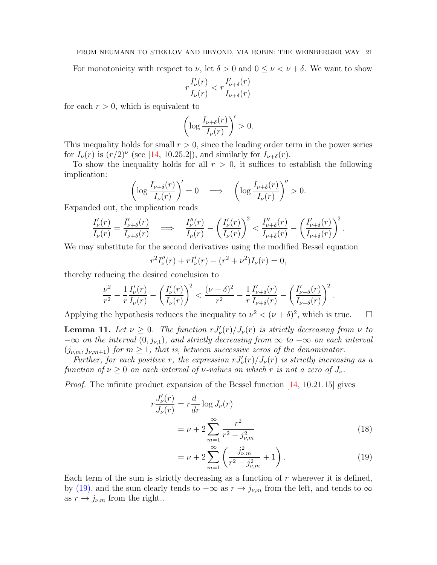For monotonicity with respect to  $\nu$ , let  $\delta > 0$  and  $0 \le \nu \le \nu + \delta$ . We want to show

$$
r\frac{I_{\nu}'(r)}{I_{\nu}(r)} < r\frac{I_{\nu+\delta}'(r)}{I_{\nu+\delta}(r)}
$$

for each  $r > 0$ , which is equivalent to

$$
\left(\log \frac{I_{\nu+\delta}(r)}{I_{\nu}(r)}\right)' > 0.
$$

This inequality holds for small  $r > 0$ , since the leading order term in the power series for  $I_{\nu}(r)$  is  $(r/2)^{\nu}$  (see [\[14,](#page-21-17) 10.25.2]), and similarly for  $I_{\nu+\delta}(r)$ .

To show the inequality holds for all  $r > 0$ , it suffices to establish the following implication:

$$
\left(\log \frac{I_{\nu+\delta}(r)}{I_{\nu}(r)}\right)' = 0 \quad \Longrightarrow \quad \left(\log \frac{I_{\nu+\delta}(r)}{I_{\nu}(r)}\right)'' > 0.
$$

Expanded out, the implication reads

$$
\frac{I'_{\nu}(r)}{I_{\nu}(r)} = \frac{I'_{\nu+\delta}(r)}{I_{\nu+\delta}(r)} \quad \Longrightarrow \quad \frac{I''_{\nu}(r)}{I_{\nu}(r)} - \left(\frac{I'_{\nu}(r)}{I_{\nu}(r)}\right)^2 < \frac{I''_{\nu+\delta}(r)}{I_{\nu+\delta}(r)} - \left(\frac{I'_{\nu+\delta}(r)}{I_{\nu+\delta}(r)}\right)^2.
$$

We may substitute for the second derivatives using the modified Bessel equation

$$
r^{2}I_{\nu}''(r) + rI_{\nu}'(r) - (r^{2} + \nu^{2})I_{\nu}(r) = 0,
$$

thereby reducing the desired conclusion to

$$
\frac{\nu^2}{r^2} - \frac{1}{r} \frac{I'_{\nu}(r)}{I_{\nu}(r)} - \left(\frac{I'_{\nu}(r)}{I_{\nu}(r)}\right)^2 < \frac{(\nu + \delta)^2}{r^2} - \frac{1}{r} \frac{I'_{\nu + \delta}(r)}{I_{\nu + \delta}(r)} - \left(\frac{I'_{\nu + \delta}(r)}{I_{\nu + \delta}(r)}\right)^2
$$

Applying the hypothesis reduces the inequality to  $\nu^2 < (\nu + \delta)^2$ , which is true.

<span id="page-20-0"></span>**Lemma 11.** Let  $\nu \geq 0$ . The function  $r J'_{\nu}(r) / J_{\nu}(r)$  is strictly decreasing from  $\nu$  to  $-\infty$  on the interval  $(0, j_{\nu,1})$ , and strictly decreasing from  $\infty$  to  $-\infty$  on each interval  $(j_{\nu,m}, j_{\nu,m+1})$  for  $m \geq 1$ , that is, between successive zeros of the denominator.

Further, for each positive r, the expression  $r J_{\nu}'(r) / J_{\nu}(r)$  is strictly increasing as a function of  $\nu \geq 0$  on each interval of *ν*-values on which r is not a zero of  $J_{\nu}$ .

Proof. The infinite product expansion of the Bessel function [\[14,](#page-21-17) 10.21.15] gives

$$
r\frac{J_{\nu}'(r)}{J_{\nu}(r)} = r\frac{d}{dr}\log J_{\nu}(r)
$$
  
=  $\nu + 2\sum_{m=1}^{\infty} \frac{r^2}{r^2 - j_{\nu,m}^2}$  (18)

$$
= \nu + 2 \sum_{m=1}^{\infty} \left( \frac{j_{\nu,m}^2}{r^2 - j_{\nu,m}^2} + 1 \right). \tag{19}
$$

<span id="page-20-2"></span><span id="page-20-1"></span>.

Each term of the sum is strictly decreasing as a function of  $r$  wherever it is defined, by [\(19\),](#page-20-1) and the sum clearly tends to  $-\infty$  as  $r \to j_{\nu,m}$  from the left, and tends to  $\infty$ as  $r \rightarrow j_{\nu,m}$  from the right..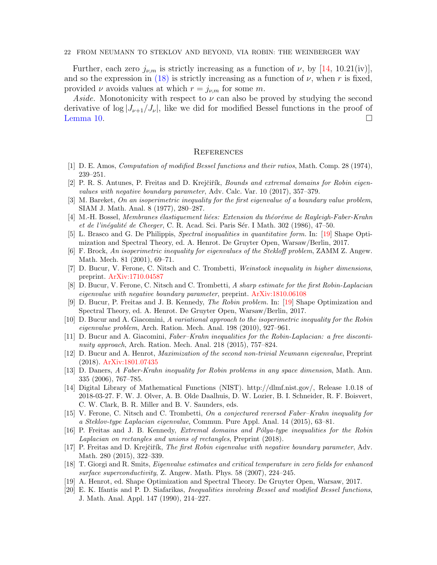Further, each zero  $j_{\nu,m}$  is strictly increasing as a function of  $\nu$ , by [\[14,](#page-21-17) 10.21(iv)], and so the expression in [\(18\)](#page-20-2) is strictly increasing as a function of  $\nu$ , when r is fixed, provided  $\nu$  avoids values at which  $r = j_{\nu,m}$  for some m.

Aside. Monotonicity with respect to  $\nu$  can also be proved by studying the second derivative of  $\log |J_{\nu+1}/J_{\nu}|$ , like we did for modified Bessel functions in the proof of [Lemma 10.](#page-19-0)  $\Box$ 

#### **REFERENCES**

- <span id="page-21-19"></span>[1] D. E. Amos, Computation of modified Bessel functions and their ratios, Math. Comp. 28 (1974), 239–251.
- <span id="page-21-12"></span>[2] P. R. S. Antunes, P. Freitas and D. Krejčiřík, Bounds and extremal domains for Robin eigenvalues with negative boundary parameter, Adv. Calc. Var. 10 (2017), 357–379.
- <span id="page-21-8"></span>[3] M. Bareket, On an isoperimetric inequality for the first eigenvalue of a boundary value problem, SIAM J. Math. Anal. 8 (1977), 280–287.
- <span id="page-21-4"></span>[4] M.-H. Bossel, Membranes élastiquement liées: Extension du théoréme de Rayleigh-Faber-Krahn et de l'inégalité de Cheeger, C. R. Acad. Sci. Paris Sér. I Math. 302 (1986), 47–50.
- <span id="page-21-16"></span>[5] L. Brasco and G. De Philippis, Spectral inequalities in quantitative form. In: [\[19\]](#page-21-3) Shape Optimization and Spectral Theory, ed. A. Henrot. De Gruyter Open, Warsaw/Berlin, 2017.
- <span id="page-21-1"></span>[6] F. Brock, An isoperimetric inequality for eigenvalues of the Stekloff problem, ZAMM Z. Angew. Math. Mech. 81 (2001), 69–71.
- <span id="page-21-2"></span>[7] D. Bucur, V. Ferone, C. Nitsch and C. Trombetti, Weinstock inequality in higher dimensions, preprint. [ArXiv:1710.04587](http://front.math.ucdavis.edu/1710.04587)
- <span id="page-21-13"></span>[8] D. Bucur, V. Ferone, C. Nitsch and C. Trombetti, A sharp estimate for the first Robin-Laplacian eigenvalue with negative boundary parameter, preprint. [ArXiv:1810.06108](http://front.math.ucdavis.edu/1810.06108)
- <span id="page-21-0"></span>[9] D. Bucur, P. Freitas and J. B. Kennedy, The Robin problem. In: [\[19\]](#page-21-3) Shape Optimization and Spectral Theory, ed. A. Henrot. De Gruyter Open, Warsaw/Berlin, 2017.
- <span id="page-21-6"></span>[10] D. Bucur and A. Giacomini, A variational approach to the isoperimetric inequality for the Robin eigenvalue problem, Arch. Ration. Mech. Anal. 198 (2010), 927–961.
- <span id="page-21-7"></span>[11] D. Bucur and A. Giacomini, Faber–Krahn inequalities for the Robin-Laplacian: a free discontinuity approach, Arch. Ration. Mech. Anal. 218 (2015), 757–824.
- <span id="page-21-15"></span>[12] D. Bucur and A. Henrot, Maximization of the second non-trivial Neumann eigenvalue, Preprint (2018). [ArXiv:1801.07435](http://front.math.ucdavis.edu/1801.07435)
- <span id="page-21-5"></span>[13] D. Daners, A Faber-Krahn inequality for Robin problems in any space dimension, Math. Ann. 335 (2006), 767–785.
- <span id="page-21-17"></span>[14] Digital Library of Mathematical Functions (NIST). http://dlmf.nist.gov/, Release 1.0.18 of 2018-03-27. F. W. J. Olver, A. B. Olde Daalhuis, D. W. Lozier, B. I. Schneider, R. F. Boisvert, C. W. Clark, B. R. Miller and B. V. Saunders, eds.
- <span id="page-21-10"></span>[15] V. Ferone, C. Nitsch and C. Trombetti, On a conjectured reversed Faber–Krahn inequality for a Steklov-type Laplacian eigenvalue, Commun. Pure Appl. Anal. 14 (2015), 63–81.
- <span id="page-21-14"></span>[16] P. Freitas and J. B. Kennedy, *Extremal domains and Pólya-type inequalities for the Robin* Laplacian on rectangles and unions of rectangles, Preprint (2018).
- <span id="page-21-11"></span>[17] P. Freitas and D. Krejčiřík, *The first Robin eigenvalue with negative boundary parameter*, Adv. Math. 280 (2015), 322–339.
- <span id="page-21-9"></span>[18] T. Giorgi and R. Smits, Eigenvalue estimates and critical temperature in zero fields for enhanced surface superconductivity, Z. Angew. Math. Phys. 58 (2007), 224–245.
- <span id="page-21-3"></span>[19] A. Henrot, ed. Shape Optimization and Spectral Theory. De Gruyter Open, Warsaw, 2017.
- <span id="page-21-18"></span>[20] E. K. Ifantis and P. D. Siafarikas, Inequalities involving Bessel and modified Bessel functions, J. Math. Anal. Appl. 147 (1990), 214–227.